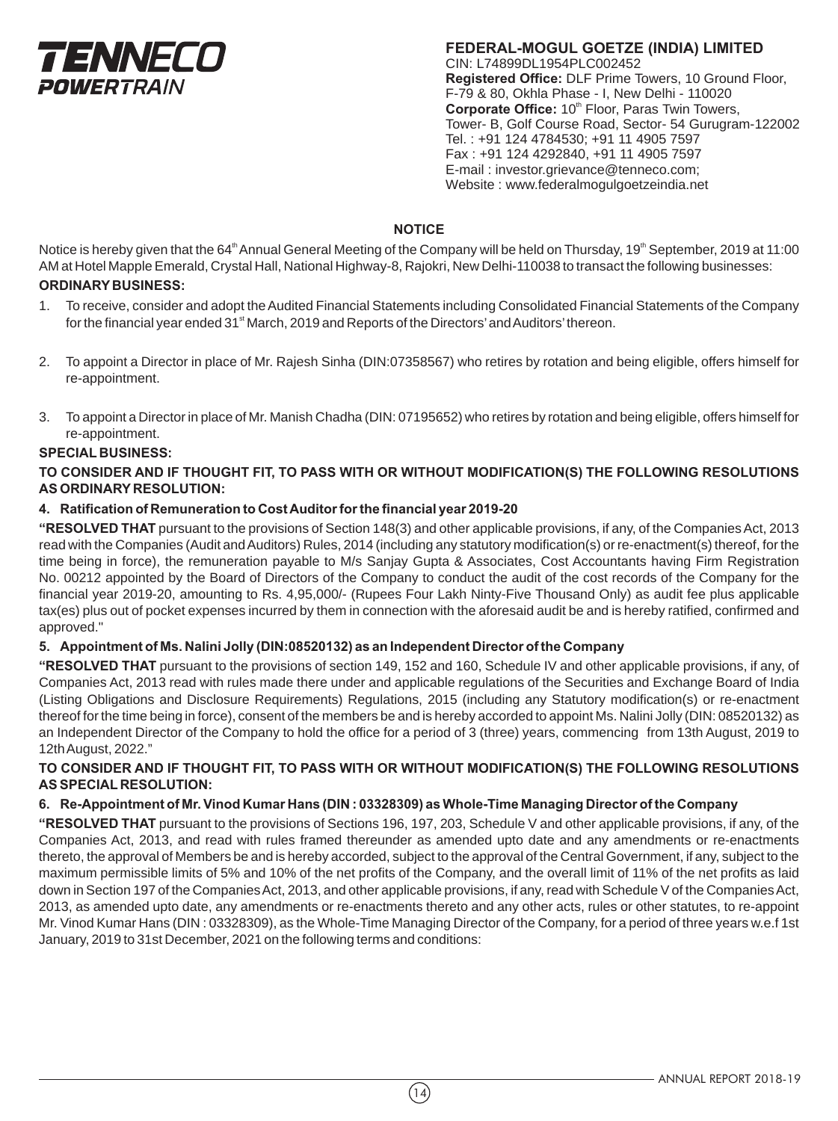

**FEDERAL-MOGUL GOETZE (INDIA) LIMITED** CIN: L74899DL1954PLC002452 **Registered Office:** DLF Prime Towers, 10 Ground Floor, F-79 & 80, Okhla Phase - I, New Delhi - 110020 Corporate Office: 10<sup>th</sup> Floor, Paras Twin Towers, Tower- B, Golf Course Road, Sector- 54 Gurugram-122002 Tel. : +91 124 4784530; +91 11 4905 7597 Fax : +91 124 4292840, +91 11 4905 7597 E-mail : investor.grievance@tenneco.com; Website : www.federalmogulgoetzeindia.net

# **NOTICE**

Notice is hereby given that the 64<sup>th</sup> Annual General Meeting of the Company will be held on Thursday, 19<sup>th</sup> September, 2019 at 11:00 AM at Hotel Mapple Emerald, Crystal Hall, National Highway-8, Rajokri, New Delhi-110038 to transact the following businesses:

# **ORDINARY BUSINESS:**

- 1. To receive, consider and adopt the Audited Financial Statements including Consolidated Financial Statements of the Company for the financial year ended 31<sup>et</sup> March, 2019 and Reports of the Directors' and Auditors' thereon.
- 2. To appoint a Director in place of Mr. Rajesh Sinha (DIN:07358567) who retires by rotation and being eligible, offers himself for re-appointment.
- 3. To appoint a Director in place of Mr. Manish Chadha (DIN: 07195652) who retires by rotation and being eligible, offers himself for re-appointment.

# **SPECIAL BUSINESS:**

# **TO CONSIDER AND IF THOUGHT FIT, TO PASS WITH OR WITHOUT MODIFICATION(S) THE FOLLOWING RESOLUTIONS AS ORDINARY RESOLUTION:**

# **4. Ratification of Remuneration to Cost Auditor for the financial year 2019-20**

**"RESOLVED THAT** pursuant to the provisions of Section 148(3) and other applicable provisions, if any, of the Companies Act, 2013 read with the Companies (Audit and Auditors) Rules, 2014 (including any statutory modification(s) or re-enactment(s) thereof, for the time being in force), the remuneration payable to M/s Sanjay Gupta & Associates, Cost Accountants having Firm Registration No. 00212 appointed by the Board of Directors of the Company to conduct the audit of the cost records of the Company for the financial year 2019-20, amounting to Rs. 4,95,000/- (Rupees Four Lakh Ninty-Five Thousand Only) as audit fee plus applicable tax(es) plus out of pocket expenses incurred by them in connection with the aforesaid audit be and is hereby ratified, confirmed and approved."

#### **5. Appointment of Ms. Nalini Jolly (DIN:08520132) as an Independent Director of the Company**

**"RESOLVED THAT** pursuant to the provisions of section 149, 152 and 160, Schedule IV and other applicable provisions, if any, of Companies Act, 2013 read with rules made there under and applicable regulations of the Securities and Exchange Board of India (Listing Obligations and Disclosure Requirements) Regulations, 2015 (including any Statutory modification(s) or re-enactment thereof for the time being in force), consent of the members be and is hereby accorded to appoint Ms. Nalini Jolly (DIN: 08520132) as an Independent Director of the Company to hold the office for a period of 3 (three) years, commencing from 13th August, 2019 to 12th August, 2022."

# **TO CONSIDER AND IF THOUGHT FIT, TO PASS WITH OR WITHOUT MODIFICATION(S) THE FOLLOWING RESOLUTIONS AS SPECIAL RESOLUTION:**

# **6. Re-Appointment of Mr. Vinod Kumar Hans (DIN : 03328309) as Whole-Time Managing Director of the Company**

**"RESOLVED THAT** pursuant to the provisions of Sections 196, 197, 203, Schedule V and other applicable provisions, if any, of the Companies Act, 2013, and read with rules framed thereunder as amended upto date and any amendments or re-enactments thereto, the approval of Members be and is hereby accorded, subject to the approval of the Central Government, if any, subject to the maximum permissible limits of 5% and 10% of the net profits of the Company, and the overall limit of 11% of the net profits as laid down in Section 197 of the Companies Act, 2013, and other applicable provisions, if any, read with Schedule V of the Companies Act, 2013, as amended upto date, any amendments or re-enactments thereto and any other acts, rules or other statutes, to re-appoint Mr. Vinod Kumar Hans (DIN : 03328309), as the Whole-Time Managing Director of the Company, for a period of three years w.e.f 1st January, 2019 to 31st December, 2021 on the following terms and conditions: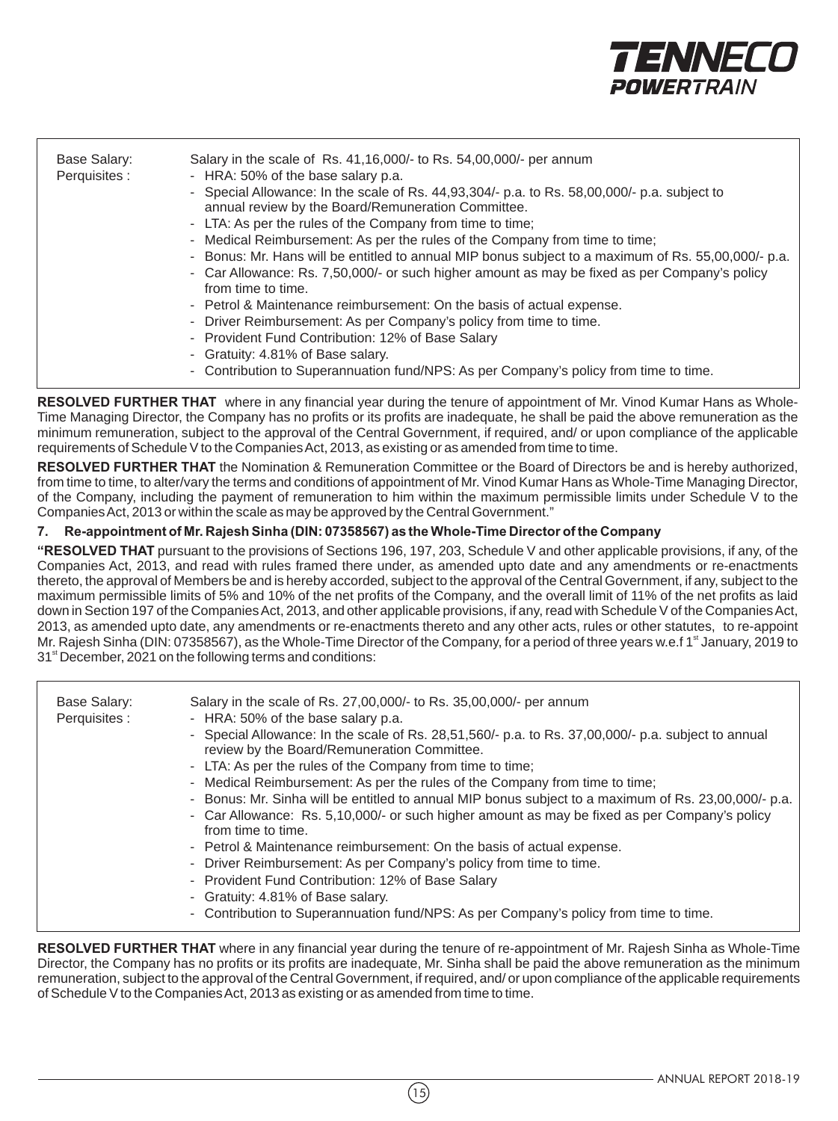

| Base Salary:  | Salary in the scale of Rs. 41, 16, 000/- to Rs. 54, 00, 000/- per annum                                                                            |
|---------------|----------------------------------------------------------------------------------------------------------------------------------------------------|
| Perquisites : | - HRA: 50% of the base salary p.a.                                                                                                                 |
|               | - Special Allowance: In the scale of Rs. 44,93,304/- p.a. to Rs. 58,00,000/- p.a. subject to<br>annual review by the Board/Remuneration Committee. |
|               | - LTA: As per the rules of the Company from time to time;                                                                                          |
|               | - Medical Reimbursement: As per the rules of the Company from time to time;                                                                        |
|               | - Bonus: Mr. Hans will be entitled to annual MIP bonus subject to a maximum of Rs. 55,00,000/- p.a.                                                |
|               | - Car Allowance: Rs. 7,50,000/- or such higher amount as may be fixed as per Company's policy<br>from time to time.                                |
|               | - Petrol & Maintenance reimbursement: On the basis of actual expense.                                                                              |
|               | - Driver Reimbursement: As per Company's policy from time to time.                                                                                 |
|               | - Provident Fund Contribution: 12% of Base Salary                                                                                                  |
|               | - Gratuity: 4.81% of Base salary.                                                                                                                  |
|               | - Contribution to Superannuation fund/NPS: As per Company's policy from time to time.                                                              |

**RESOLVED FURTHER THAT** where in any financial year during the tenure of appointment of Mr. Vinod Kumar Hans as Whole-Time Managing Director, the Company has no profits or its profits are inadequate, he shall be paid the above remuneration as the minimum remuneration, subject to the approval of the Central Government, if required, and/ or upon compliance of the applicable requirements of Schedule V to the Companies Act, 2013, as existing or as amended from time to time.

**RESOLVED FURTHER THAT** the Nomination & Remuneration Committee or the Board of Directors be and is hereby authorized, from time to time, to alter/vary the terms and conditions of appointment of Mr. Vinod Kumar Hans as Whole-Time Managing Director, of the Company, including the payment of remuneration to him within the maximum permissible limits under Schedule V to the Companies Act, 2013 or within the scale as may be approved by the Central Government."

#### **7. Re-appointment of Mr. Rajesh Sinha (DIN: 07358567) as the Whole-Time Director of the Company**

**"RESOLVED THAT** pursuant to the provisions of Sections 196, 197, 203, Schedule V and other applicable provisions, if any, of the Companies Act, 2013, and read with rules framed there under, as amended upto date and any amendments or re-enactments thereto, the approval of Members be and is hereby accorded, subject to the approval of the Central Government, if any, subject to the maximum permissible limits of 5% and 10% of the net profits of the Company, and the overall limit of 11% of the net profits as laid down in Section 197 of the Companies Act, 2013, and other applicable provisions, if any, read with Schedule V of the Companies Act, 2013, as amended upto date, any amendments or re-enactments thereto and any other acts, rules or other statutes, to re-appoint Mr. Rajesh Sinha (DIN: 07358567), as the Whole-Time Director of the Company, for a period of three years w.e.f 1<sup>st</sup> January, 2019 to 31<sup><sup>st</sup> December, 2021 on the following terms and conditions:</sup>

| Base Salary:<br>Perquisites : | Salary in the scale of Rs. 27,00,000/- to Rs. 35,00,000/- per annum<br>- HRA: 50% of the base salary p.a.<br>- Special Allowance: In the scale of Rs. 28,51,560/- p.a. to Rs. 37,00,000/- p.a. subject to annual<br>review by the Board/Remuneration Committee.<br>- LTA: As per the rules of the Company from time to time;<br>- Medical Reimbursement: As per the rules of the Company from time to time;<br>- Bonus: Mr. Sinha will be entitled to annual MIP bonus subject to a maximum of Rs. 23,00,000/- p.a.<br>- Car Allowance: Rs. 5,10,000/- or such higher amount as may be fixed as per Company's policy<br>from time to time.<br>- Petrol & Maintenance reimbursement: On the basis of actual expense.<br>- Driver Reimbursement: As per Company's policy from time to time.<br>- Provident Fund Contribution: 12% of Base Salary<br>- Gratuity: 4.81% of Base salary.<br>- Contribution to Superannuation fund/NPS: As per Company's policy from time to time. |
|-------------------------------|------------------------------------------------------------------------------------------------------------------------------------------------------------------------------------------------------------------------------------------------------------------------------------------------------------------------------------------------------------------------------------------------------------------------------------------------------------------------------------------------------------------------------------------------------------------------------------------------------------------------------------------------------------------------------------------------------------------------------------------------------------------------------------------------------------------------------------------------------------------------------------------------------------------------------------------------------------------------------|
|-------------------------------|------------------------------------------------------------------------------------------------------------------------------------------------------------------------------------------------------------------------------------------------------------------------------------------------------------------------------------------------------------------------------------------------------------------------------------------------------------------------------------------------------------------------------------------------------------------------------------------------------------------------------------------------------------------------------------------------------------------------------------------------------------------------------------------------------------------------------------------------------------------------------------------------------------------------------------------------------------------------------|

**RESOLVED FURTHER THAT** where in any financial year during the tenure of re-appointment of Mr. Rajesh Sinha as Whole-Time Director, the Company has no profits or its profits are inadequate, Mr. Sinha shall be paid the above remuneration as the minimum remuneration, subject to the approval of the Central Government, if required, and/ or upon compliance of the applicable requirements of Schedule V to the Companies Act, 2013 as existing or as amended from time to time.

 $(15)$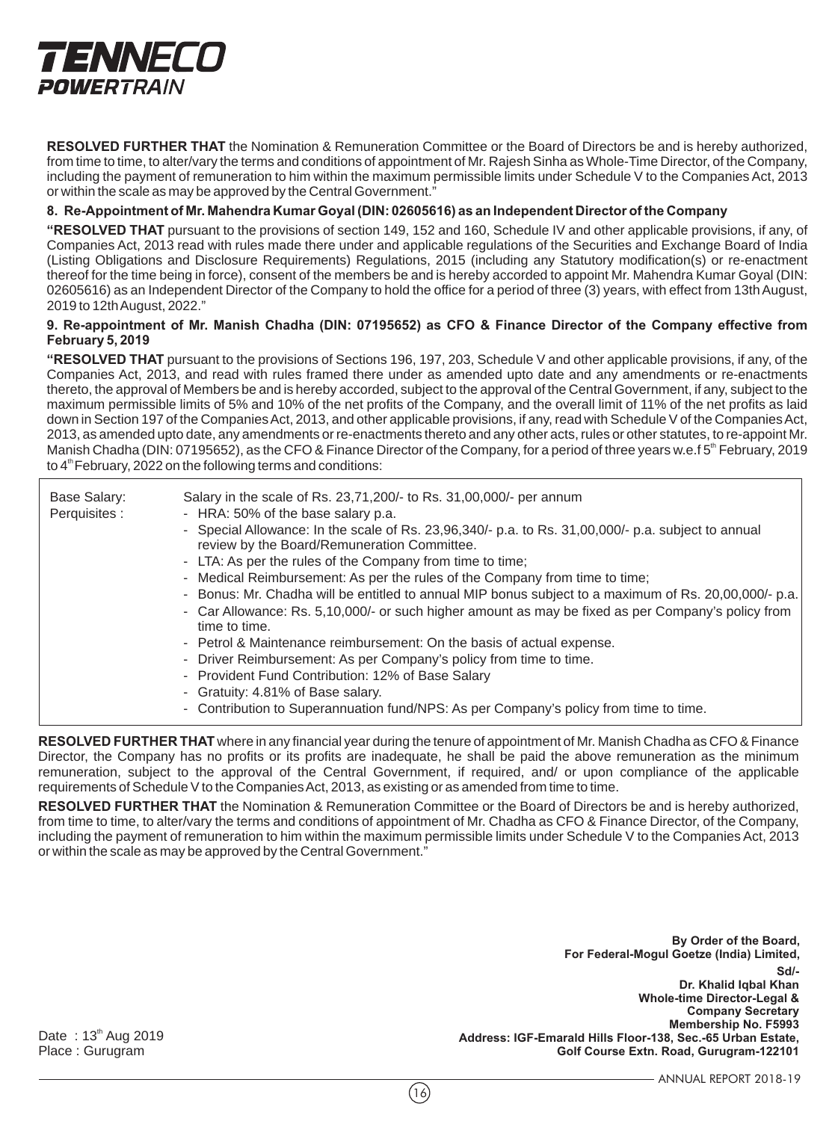

**RESOLVED FURTHER THAT** the Nomination & Remuneration Committee or the Board of Directors be and is hereby authorized, from time to time, to alter/vary the terms and conditions of appointment of Mr. Rajesh Sinha as Whole-Time Director, of the Company, including the payment of remuneration to him within the maximum permissible limits under Schedule V to the Companies Act, 2013 or within the scale as may be approved by the Central Government."

#### **8. Re-Appointment of Mr. Mahendra Kumar Goyal (DIN: 02605616) as an Independent Director of the Company**

**"RESOLVED THAT** pursuant to the provisions of section 149, 152 and 160, Schedule IV and other applicable provisions, if any, of Companies Act, 2013 read with rules made there under and applicable regulations of the Securities and Exchange Board of India (Listing Obligations and Disclosure Requirements) Regulations, 2015 (including any Statutory modification(s) or re-enactment thereof for the time being in force), consent of the members be and is hereby accorded to appoint Mr. Mahendra Kumar Goyal (DIN: 02605616) as an Independent Director of the Company to hold the office for a period of three (3) years, with effect from 13th August, 2019 to 12th August, 2022."

#### **9. Re-appointment of Mr. Manish Chadha (DIN: 07195652) as CFO & Finance Director of the Company effective from February 5, 2019**

**"RESOLVED THAT** pursuant to the provisions of Sections 196, 197, 203, Schedule V and other applicable provisions, if any, of the Companies Act, 2013, and read with rules framed there under as amended upto date and any amendments or re-enactments thereto, the approval of Members be and is hereby accorded, subject to the approval of the Central Government, if any, subject to the maximum permissible limits of 5% and 10% of the net profits of the Company, and the overall limit of 11% of the net profits as laid down in Section 197 of the Companies Act, 2013, and other applicable provisions, if any, read with Schedule V of the Companies Act, 2013, as amended upto date, any amendments or re-enactments thereto and any other acts, rules or other statutes, to re-appoint Mr. Manish Chadha (DIN: 07195652), as the CFO & Finance Director of the Company, for a period of three years w.e.f 5<sup>th</sup> February, 2019 to  $4<sup>th</sup>$  February, 2022 on the following terms and conditions:

| Base Salary:<br>Perquisites : | Salary in the scale of Rs. 23,71,200/- to Rs. 31,00,000/- per annum<br>- HRA: 50% of the base salary p.a.<br>- Special Allowance: In the scale of Rs. 23,96,340/- p.a. to Rs. 31,00,000/- p.a. subject to annual<br>review by the Board/Remuneration Committee.<br>- LTA: As per the rules of the Company from time to time;<br>- Medical Reimbursement: As per the rules of the Company from time to time;<br>- Bonus: Mr. Chadha will be entitled to annual MIP bonus subject to a maximum of Rs. 20,00,000/- p.a.<br>- Car Allowance: Rs. 5,10,000/- or such higher amount as may be fixed as per Company's policy from<br>time to time.<br>- Petrol & Maintenance reimbursement: On the basis of actual expense.<br>- Driver Reimbursement: As per Company's policy from time to time.<br>- Provident Fund Contribution: 12% of Base Salary<br>- Gratuity: 4.81% of Base salary. |
|-------------------------------|--------------------------------------------------------------------------------------------------------------------------------------------------------------------------------------------------------------------------------------------------------------------------------------------------------------------------------------------------------------------------------------------------------------------------------------------------------------------------------------------------------------------------------------------------------------------------------------------------------------------------------------------------------------------------------------------------------------------------------------------------------------------------------------------------------------------------------------------------------------------------------------|
|                               | - Contribution to Superannuation fund/NPS: As per Company's policy from time to time.                                                                                                                                                                                                                                                                                                                                                                                                                                                                                                                                                                                                                                                                                                                                                                                                |

**RESOLVED FURTHER THAT** where in any financial year during the tenure of appointment of Mr. Manish Chadha as CFO & Finance Director, the Company has no profits or its profits are inadequate, he shall be paid the above remuneration as the minimum remuneration, subject to the approval of the Central Government, if required, and/ or upon compliance of the applicable requirements of Schedule V to the Companies Act, 2013, as existing or as amended from time to time.

**RESOLVED FURTHER THAT** the Nomination & Remuneration Committee or the Board of Directors be and is hereby authorized, from time to time, to alter/vary the terms and conditions of appointment of Mr. Chadha as CFO & Finance Director, of the Company, including the payment of remuneration to him within the maximum permissible limits under Schedule V to the Companies Act, 2013 or within the scale as may be approved by the Central Government."

> **Sd/- Dr. Khalid Iqbal Khan Whole-time Director-Legal & Company Secretary Membership No. F5993 Address: IGF-Emarald Hills Floor-138, Sec.-65 Urban Estate, Golf Course Extn. Road, Gurugram-122101 By Order of the Board, For Federal-Mogul Goetze (India) Limited,**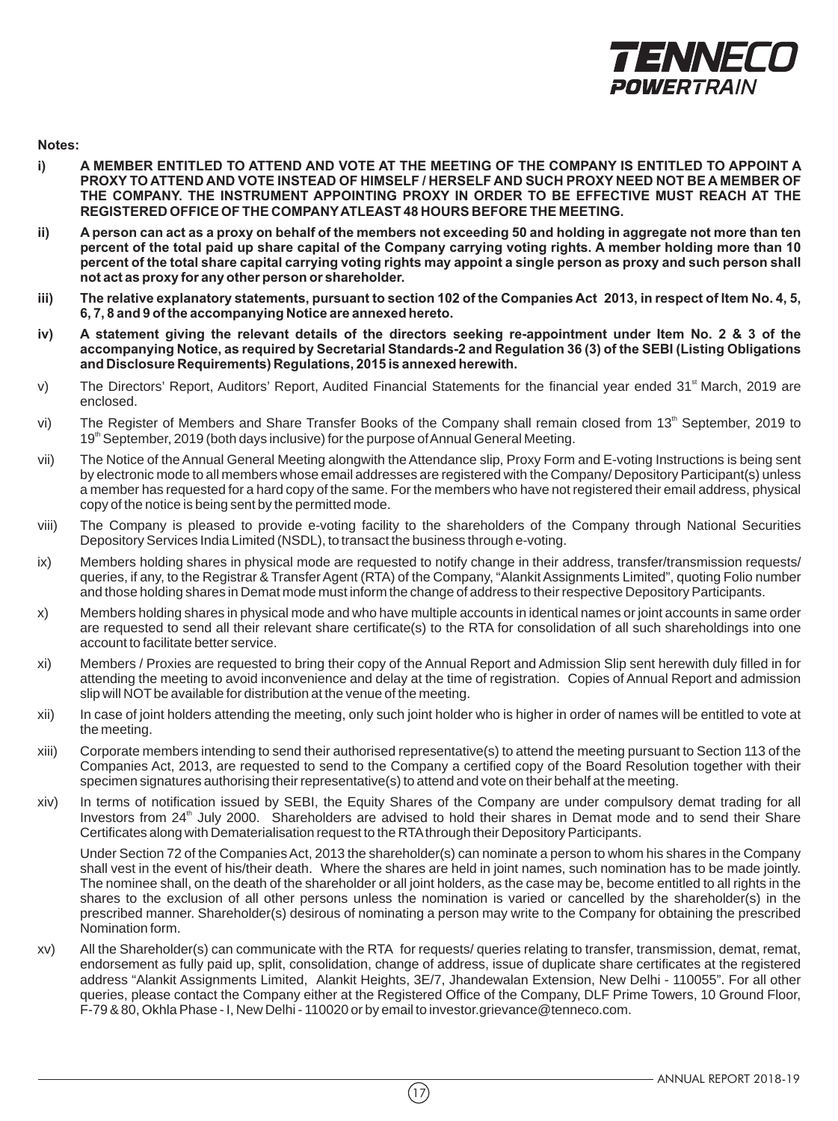

**Notes:**

- **i) A MEMBER ENTITLED TO ATTEND AND VOTE AT THE MEETING OF THE COMPANY IS ENTITLED TO APPOINT A PROXY TO ATTEND AND VOTE INSTEAD OF HIMSELF / HERSELF AND SUCH PROXY NEED NOT BE A MEMBER OF THE COMPANY. THE INSTRUMENT APPOINTING PROXY IN ORDER TO BE EFFECTIVE MUST REACH AT THE REGISTERED OFFICE OF THE COMPANY ATLEAST 48 HOURS BEFORE THE MEETING.**
- **ii) A person can act as a proxy on behalf of the members not exceeding 50 and holding in aggregate not more than ten percent of the total paid up share capital of the Company carrying voting rights. A member holding more than 10 percent of the total share capital carrying voting rights may appoint a single person as proxy and such person shall not act as proxy for any other person or shareholder.**
- **iii) The relative explanatory statements, pursuant to section 102 of the Companies Act 2013, in respect of Item No. 4, 5, 6, 7, 8 and 9 of the accompanying Notice are annexed hereto.**
- **iv) A statement giving the relevant details of the directors seeking re-appointment under Item No. 2 & 3 of the accompanying Notice, as required by Secretarial Standards-2 and Regulation 36 (3) of the SEBI (Listing Obligations and Disclosure Requirements) Regulations, 2015 is annexed herewith.**
- v) The Directors' Report, Auditors' Report, Audited Financial Statements for the financial year ended 31<sup> March</sup>, 2019 are enclosed.
- vi) The Register of Members and Share Transfer Books of the Company shall remain closed from 13<sup>th</sup> September, 2019 to 19<sup>th</sup> September, 2019 (both days inclusive) for the purpose of Annual General Meeting.
- vii) The Notice of the Annual General Meeting alongwith the Attendance slip, Proxy Form and E-voting Instructions is being sent by electronic mode to all members whose email addresses are registered with the Company/ Depository Participant(s) unless a member has requested for a hard copy of the same. For the members who have not registered their email address, physical copy of the notice is being sent by the permitted mode.
- viii) The Company is pleased to provide e-voting facility to the shareholders of the Company through National Securities Depository Services India Limited (NSDL), to transact the business through e-voting.
- ix) Members holding shares in physical mode are requested to notify change in their address, transfer/transmission requests/ queries, if any, to the Registrar & Transfer Agent (RTA) of the Company, "Alankit Assignments Limited", quoting Folio number and those holding shares in Demat mode must inform the change of address to their respective Depository Participants.
- x) Members holding shares in physical mode and who have multiple accounts in identical names or joint accounts in same order are requested to send all their relevant share certificate(s) to the RTA for consolidation of all such shareholdings into one account to facilitate better service.
- xi) Members / Proxies are requested to bring their copy of the Annual Report and Admission Slip sent herewith duly filled in for attending the meeting to avoid inconvenience and delay at the time of registration. Copies of Annual Report and admission slip will NOT be available for distribution at the venue of the meeting.
- xii) In case of joint holders attending the meeting, only such joint holder who is higher in order of names will be entitled to vote at the meeting.
- xiii) Corporate members intending to send their authorised representative(s) to attend the meeting pursuant to Section 113 of the Companies Act, 2013, are requested to send to the Company a certified copy of the Board Resolution together with their specimen signatures authorising their representative(s) to attend and vote on their behalf at the meeting.
- xiv) In terms of notification issued by SEBI, the Equity Shares of the Company are under compulsory demat trading for all Investors from 24<sup>th</sup> July 2000. Shareholders are advised to hold their shares in Demat mode and to send their Share Certificates along with Dematerialisation request to the RTA through their Depository Participants.

Under Section 72 of the Companies Act, 2013 the shareholder(s) can nominate a person to whom his shares in the Company shall vest in the event of his/their death. Where the shares are held in joint names, such nomination has to be made jointly. The nominee shall, on the death of the shareholder or all joint holders, as the case may be, become entitled to all rights in the shares to the exclusion of all other persons unless the nomination is varied or cancelled by the shareholder(s) in the prescribed manner. Shareholder(s) desirous of nominating a person may write to the Company for obtaining the prescribed Nomination form.

xv) All the Shareholder(s) can communicate with the RTA for requests/ queries relating to transfer, transmission, demat, remat, endorsement as fully paid up, split, consolidation, change of address, issue of duplicate share certificates at the registered address "Alankit Assignments Limited, Alankit Heights, 3E/7, Jhandewalan Extension, New Delhi - 110055". For all other queries, please contact the Company either at the Registered Office of the Company, DLF Prime Towers, 10 Ground Floor, F-79 & 80, Okhla Phase - I, New Delhi - 110020 or by email to investor.grievance@tenneco.com.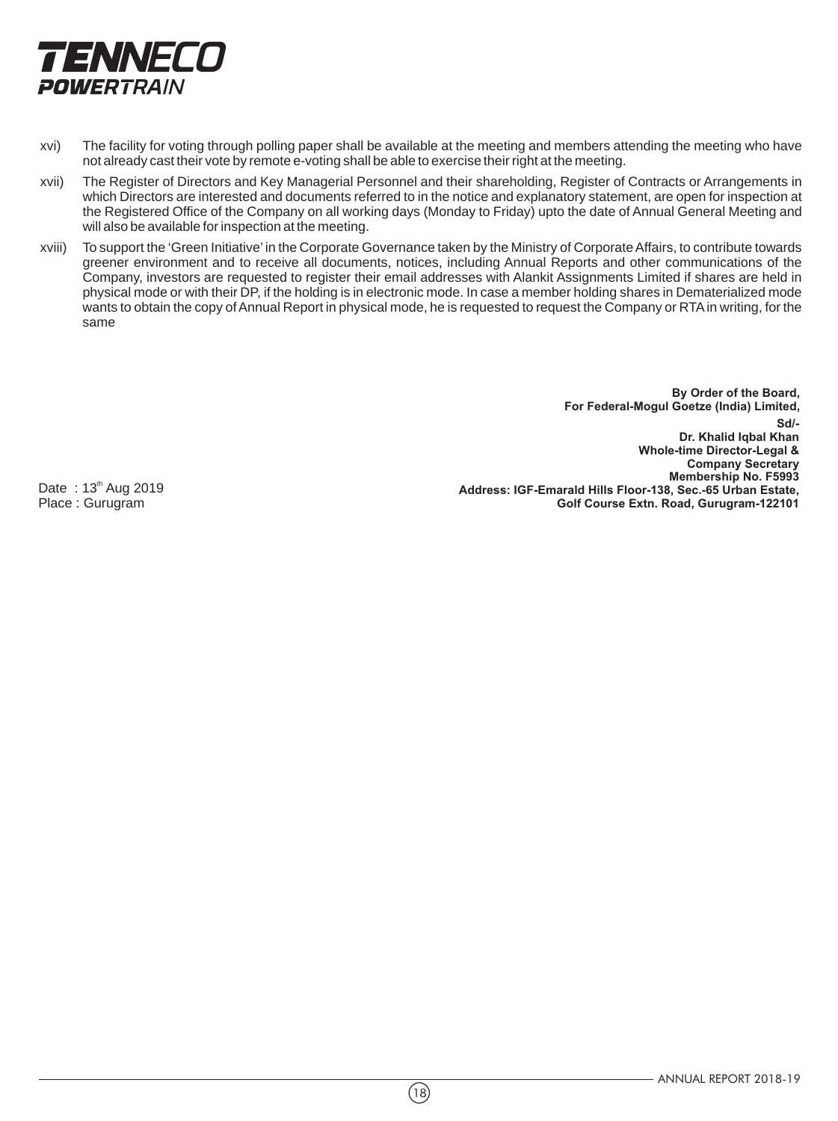

- xvi) The facility for voting through polling paper shall be available at the meeting and members attending the meeting who have not already cast their vote by remote e-voting shall be able to exercise their right at the meeting.
- xvii) The Register of Directors and Key Managerial Personnel and their shareholding, Register of Contracts or Arrangements in which Directors are interested and documents referred to in the notice and explanatory statement, are open for inspection at the Registered Office of the Company on all working days (Monday to Friday) upto the date of Annual General Meeting and will also be available for inspection at the meeting.
- xviii) To support the 'Green Initiative' in the Corporate Governance taken by the Ministry of Corporate Affairs, to contribute towards greener environment and to receive all documents, notices, including Annual Reports and other communications of the Company, investors are requested to register their email addresses with Alankit Assignments Limited if shares are held in physical mode or with their DP, if the holding is in electronic mode. In case a member holding shares in Dematerialized mode wants to obtain the copy of Annual Report in physical mode, he is requested to request the Company or RTA in writing, for the same

**Sd/- Dr. Khalid Iqbal Khan Whole-time Director-Legal & Company Secretary Membership No. F5993 Address: IGF-Emarald Hills Floor-138, Sec.-65 Urban Estate, Golf Course Extn. Road, Gurugram-122101 By Order of the Board, For Federal-Mogul Goetze (India) Limited,** 

Date:  $13<sup>th</sup>$  Aug 2019 Place : Gurugram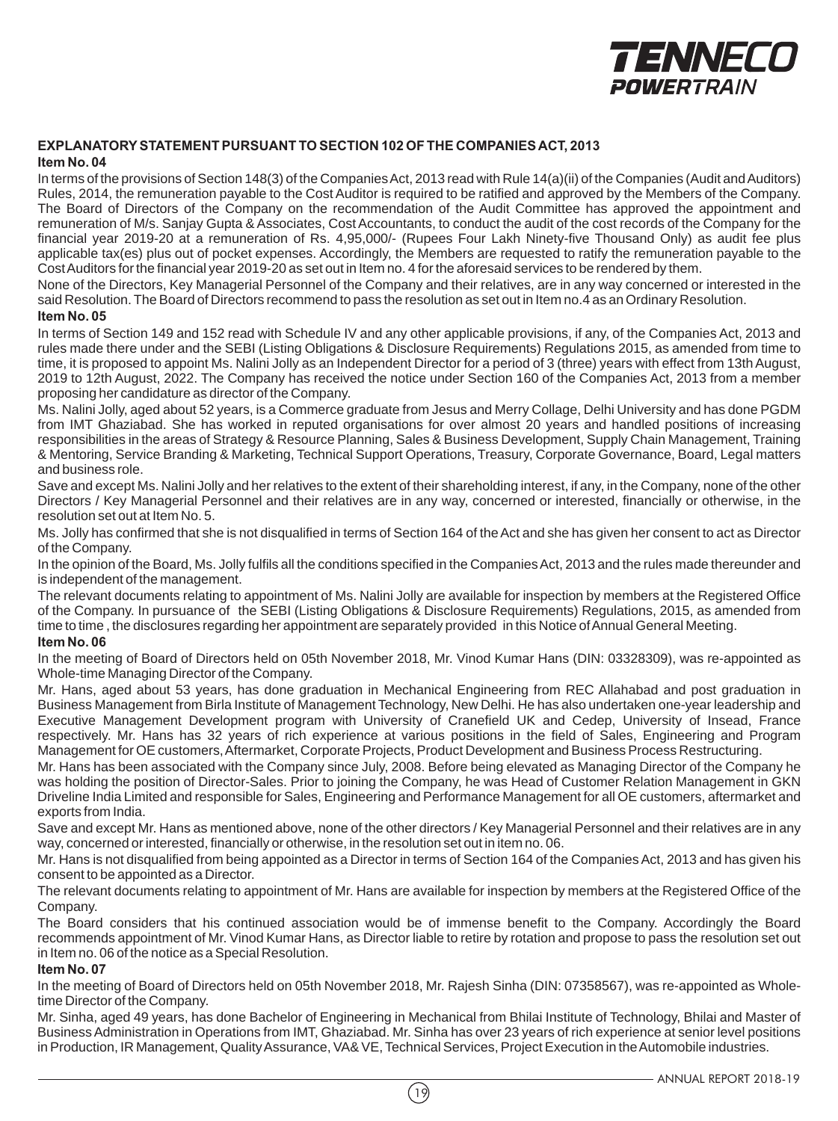

#### **EXPLANATORY STATEMENT PURSUANT TO SECTION 102 OF THE COMPANIES ACT, 2013 Item No. 04**

In terms of the provisions of Section 148(3) of the Companies Act, 2013 read with Rule 14(a)(ii) of the Companies (Audit and Auditors) Rules, 2014, the remuneration payable to the Cost Auditor is required to be ratified and approved by the Members of the Company. The Board of Directors of the Company on the recommendation of the Audit Committee has approved the appointment and remuneration of M/s. Sanjay Gupta & Associates, Cost Accountants, to conduct the audit of the cost records of the Company for the financial year 2019-20 at a remuneration of Rs. 4,95,000/- (Rupees Four Lakh Ninety-five Thousand Only) as audit fee plus applicable tax(es) plus out of pocket expenses. Accordingly, the Members are requested to ratify the remuneration payable to the Cost Auditors for the financial year 2019-20 as set out in Item no. 4 for the aforesaid services to be rendered by them.

None of the Directors, Key Managerial Personnel of the Company and their relatives, are in any way concerned or interested in the said Resolution. The Board of Directors recommend to pass the resolution as set out in Item no.4 as an Ordinary Resolution.

#### **Item No. 05**

In terms of Section 149 and 152 read with Schedule IV and any other applicable provisions, if any, of the Companies Act, 2013 and rules made there under and the SEBI (Listing Obligations & Disclosure Requirements) Regulations 2015, as amended from time to time, it is proposed to appoint Ms. Nalini Jolly as an Independent Director for a period of 3 (three) years with effect from 13th August, 2019 to 12th August, 2022. The Company has received the notice under Section 160 of the Companies Act, 2013 from a member proposing her candidature as director of the Company.

Ms. Nalini Jolly, aged about 52 years, is a Commerce graduate from Jesus and Merry Collage, Delhi University and has done PGDM from IMT Ghaziabad. She has worked in reputed organisations for over almost 20 years and handled positions of increasing responsibilities in the areas of Strategy & Resource Planning, Sales & Business Development, Supply Chain Management, Training & Mentoring, Service Branding & Marketing, Technical Support Operations, Treasury, Corporate Governance, Board, Legal matters and business role.

Save and except Ms. Nalini Jolly and her relatives to the extent of their shareholding interest, if any, in the Company, none of the other Directors / Key Managerial Personnel and their relatives are in any way, concerned or interested, financially or otherwise, in the resolution set out at Item No. 5.

Ms. Jolly has confirmed that she is not disqualified in terms of Section 164 of the Act and she has given her consent to act as Director of the Company.

In the opinion of the Board, Ms. Jolly fulfils all the conditions specified in the Companies Act, 2013 and the rules made thereunder and is independent of the management.

The relevant documents relating to appointment of Ms. Nalini Jolly are available for inspection by members at the Registered Office of the Company. In pursuance of the SEBI (Listing Obligations & Disclosure Requirements) Regulations, 2015, as amended from time to time , the disclosures regarding her appointment are separately provided in this Notice of Annual General Meeting.

#### **Item No. 06**

In the meeting of Board of Directors held on 05th November 2018, Mr. Vinod Kumar Hans (DIN: 03328309), was re-appointed as Whole-time Managing Director of the Company.

Mr. Hans, aged about 53 years, has done graduation in Mechanical Engineering from REC Allahabad and post graduation in Business Management from Birla Institute of Management Technology, New Delhi. He has also undertaken one-year leadership and Executive Management Development program with University of Cranefield UK and Cedep, University of Insead, France respectively. Mr. Hans has 32 years of rich experience at various positions in the field of Sales, Engineering and Program Management for OE customers, Aftermarket, Corporate Projects, Product Development and Business Process Restructuring.

Mr. Hans has been associated with the Company since July, 2008. Before being elevated as Managing Director of the Company he was holding the position of Director-Sales. Prior to joining the Company, he was Head of Customer Relation Management in GKN Driveline India Limited and responsible for Sales, Engineering and Performance Management for all OE customers, aftermarket and exports from India.

Save and except Mr. Hans as mentioned above, none of the other directors / Key Managerial Personnel and their relatives are in any way, concerned or interested, financially or otherwise, in the resolution set out in item no. 06.

Mr. Hans is not disqualified from being appointed as a Director in terms of Section 164 of the Companies Act, 2013 and has given his consent to be appointed as a Director.

The relevant documents relating to appointment of Mr. Hans are available for inspection by members at the Registered Office of the Company.

The Board considers that his continued association would be of immense benefit to the Company. Accordingly the Board recommends appointment of Mr. Vinod Kumar Hans, as Director liable to retire by rotation and propose to pass the resolution set out in Item no. 06 of the notice as a Special Resolution.

#### **Item No. 07**

In the meeting of Board of Directors held on 05th November 2018, Mr. Rajesh Sinha (DIN: 07358567), was re-appointed as Wholetime Director of the Company.

Mr. Sinha, aged 49 years, has done Bachelor of Engineering in Mechanical from Bhilai Institute of Technology, Bhilai and Master of Business Administration in Operations from IMT, Ghaziabad. Mr. Sinha has over 23 years of rich experience at senior level positions in Production, IR Management, Quality Assurance, VA& VE, Technical Services, Project Execution in the Automobile industries.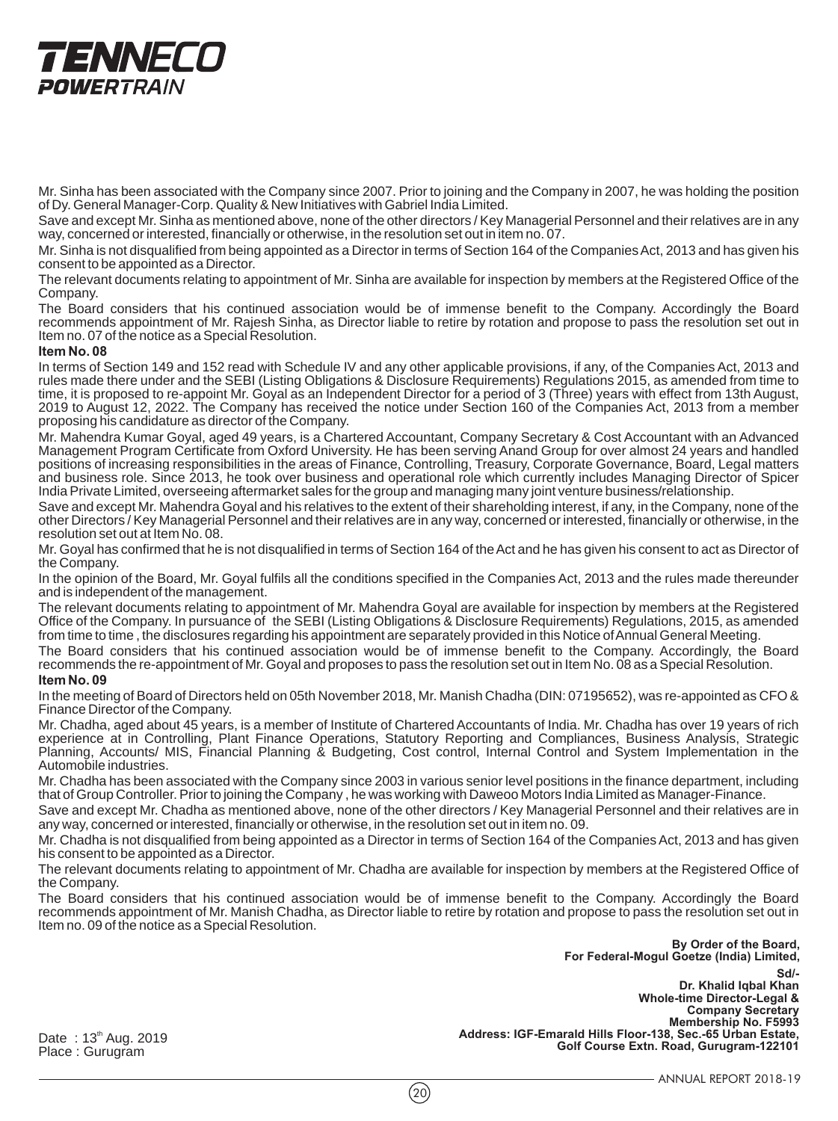# TENNECO **POWERTRAIN**

Mr. Sinha has been associated with the Company since 2007. Prior to joining and the Company in 2007, he was holding the position of Dy. General Manager-Corp. Quality & New Initiatives with Gabriel India Limited.

Save and except Mr. Sinha as mentioned above, none of the other directors / Key Managerial Personnel and their relatives are in any way, concerned or interested, financially or otherwise, in the resolution set out in item no. 07.

Mr. Sinha is not disqualified from being appointed as a Director in terms of Section 164 of the Companies Act, 2013 and has given his consent to be appointed as a Director.

The relevant documents relating to appointment of Mr. Sinha are available for inspection by members at the Registered Office of the Company.

The Board considers that his continued association would be of immense benefit to the Company. Accordingly the Board recommends appointment of Mr. Rajesh Sinha, as Director liable to retire by rotation and propose to pass the resolution set out in Item no. 07 of the notice as a Special Resolution.

#### **Item No. 08**

In terms of Section 149 and 152 read with Schedule IV and any other applicable provisions, if any, of the Companies Act, 2013 and rules made there under and the SEBI (Listing Obligations & Disclosure Requirements) Regulations 2015, as amended from time to time, it is proposed to re-appoint Mr. Goyal as an Independent Director for a period of 3 (Three) years with effect from 13th August, 2019 to August 12, 2022. The Company has received the notice under Section 160 of the Companies Act, 2013 from a member proposing his candidature as director of the Company.

Mr. Mahendra Kumar Goyal, aged 49 years, is a Chartered Accountant, Company Secretary & Cost Accountant with an Advanced Management Program Certificate from Oxford University. He has been serving Anand Group for over almost 24 years and handled positions of increasing responsibilities in the areas of Finance, Controlling, Treasury, Corporate Governance, Board, Legal matters and business role. Since 2013, he took over business and operational role which currently includes Managing Director of Spicer India Private Limited, overseeing aftermarket sales for the group and managing many joint venture business/relationship.

Save and except Mr. Mahendra Goyal and his relatives to the extent of their shareholding interest, if any, in the Company, none of the other Directors / Key Managerial Personnel and their relatives are in any way, concerned or interested, financially or otherwise, in the resolution set out at Item No. 08.

Mr. Goyal has confirmed that he is not disqualified in terms of Section 164 of the Act and he has given his consent to act as Director of the Company.

In the opinion of the Board, Mr. Goyal fulfils all the conditions specified in the Companies Act, 2013 and the rules made thereunder and is independent of the management.

The relevant documents relating to appointment of Mr. Mahendra Goyal are available for inspection by members at the Registered Office of the Company. In pursuance of the SEBI (Listing Obligations & Disclosure Requirements) Regulations, 2015, as amended from time to time , the disclosures regarding his appointment are separately provided in this Notice of Annual General Meeting.

The Board considers that his continued association would be of immense benefit to the Company. Accordingly, the Board recommends the re-appointment of Mr. Goyal and proposes to pass the resolution set out in Item No. 08 as a Special Resolution.

#### **Item No. 09**

In the meeting of Board of Directors held on 05th November 2018, Mr. Manish Chadha (DIN: 07195652), was re-appointed as CFO & Finance Director of the Company.

Mr. Chadha, aged about 45 years, is a member of Institute of Chartered Accountants of India. Mr. Chadha has over 19 years of rich experience at in Controlling, Plant Finance Operations, Statutory Reporting and Compliances, Business Analysis, Strategic Planning, Accounts/ MIS, Financial Planning & Budgeting, Cost control, Internal Control and System Implementation in the Automobile industries.

Mr. Chadha has been associated with the Company since 2003 in various senior level positions in the finance department, including that of Group Controller. Prior to joining the Company , he was working with Daweoo Motors India Limited as Manager-Finance.

Save and except Mr. Chadha as mentioned above, none of the other directors / Key Managerial Personnel and their relatives are in any way, concerned or interested, financially or otherwise, in the resolution set out in item no. 09.

Mr. Chadha is not disqualified from being appointed as a Director in terms of Section 164 of the Companies Act, 2013 and has given his consent to be appointed as a Director.

The relevant documents relating to appointment of Mr. Chadha are available for inspection by members at the Registered Office of the Company.

The Board considers that his continued association would be of immense benefit to the Company. Accordingly the Board recommends appointment of Mr. Manish Chadha, as Director liable to retire by rotation and propose to pass the resolution set out in Item no. 09 of the notice as a Special Resolution.

> **Sd/- Dr. Khalid Iqbal Khan Whole-time Director-Legal & Company Secretary Membership No. F5993 Address: IGF-Emarald Hills Floor-138, Sec.-65 Urban Estate, Golf Course Extn. Road, Gurugram-122101 By Order of the Board, For Federal-Mogul Goetze (India) Limited,**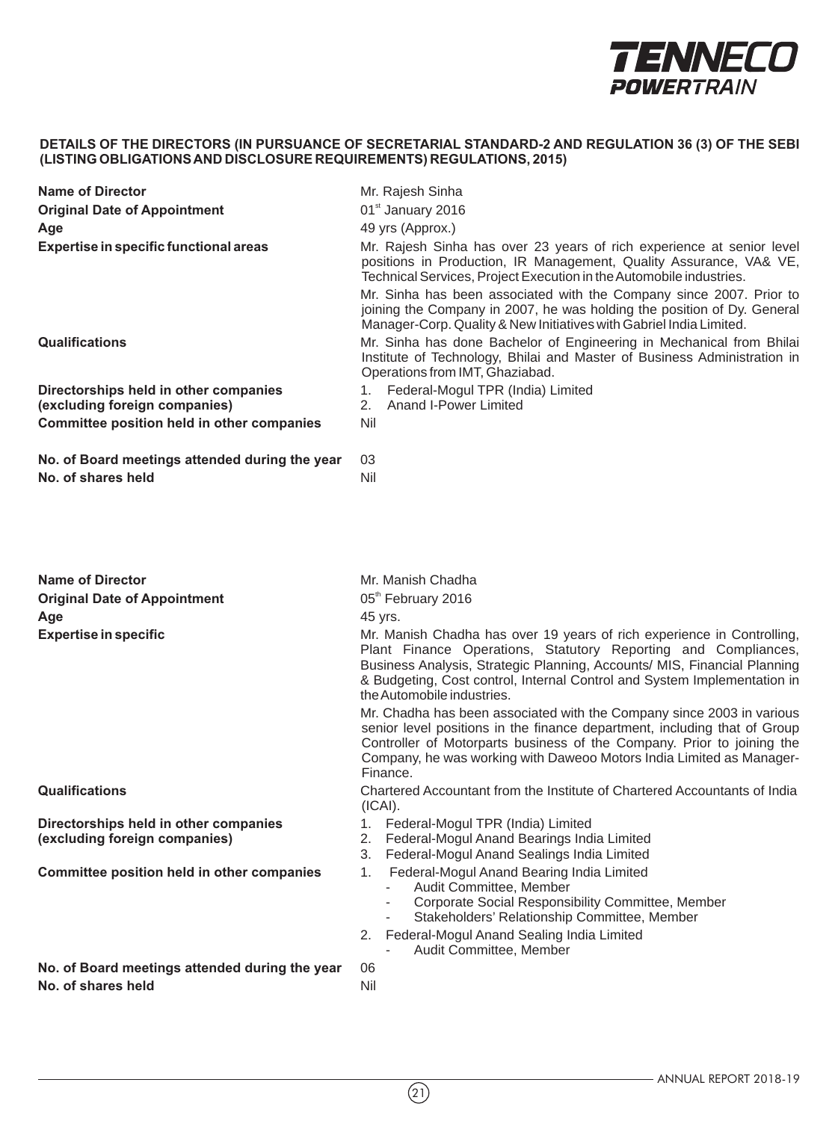

| <b>Name of Director</b>                                                                               | Mr. Rajesh Sinha<br>01st January 2016<br>49 yrs (Approx.)<br>Mr. Rajesh Sinha has over 23 years of rich experience at senior level<br>positions in Production, IR Management, Quality Assurance, VA& VE,<br>Technical Services, Project Execution in the Automobile industries.<br>Mr. Sinha has been associated with the Company since 2007. Prior to<br>joining the Company in 2007, he was holding the position of Dy. General<br>Manager-Corp. Quality & New Initiatives with Gabriel India Limited.                                                                                                                         |  |  |
|-------------------------------------------------------------------------------------------------------|----------------------------------------------------------------------------------------------------------------------------------------------------------------------------------------------------------------------------------------------------------------------------------------------------------------------------------------------------------------------------------------------------------------------------------------------------------------------------------------------------------------------------------------------------------------------------------------------------------------------------------|--|--|
| <b>Original Date of Appointment</b>                                                                   |                                                                                                                                                                                                                                                                                                                                                                                                                                                                                                                                                                                                                                  |  |  |
| Age                                                                                                   |                                                                                                                                                                                                                                                                                                                                                                                                                                                                                                                                                                                                                                  |  |  |
| <b>Expertise in specific functional areas</b>                                                         |                                                                                                                                                                                                                                                                                                                                                                                                                                                                                                                                                                                                                                  |  |  |
| <b>Qualifications</b>                                                                                 | Mr. Sinha has done Bachelor of Engineering in Mechanical from Bhilai<br>Institute of Technology, Bhilai and Master of Business Administration in<br>Operations from IMT, Ghaziabad.<br>1. Federal-Mogul TPR (India) Limited<br><b>Anand I-Power Limited</b>                                                                                                                                                                                                                                                                                                                                                                      |  |  |
| Directorships held in other companies                                                                 |                                                                                                                                                                                                                                                                                                                                                                                                                                                                                                                                                                                                                                  |  |  |
| (excluding foreign companies)<br>Committee position held in other companies                           | 2.<br>Nil<br>03<br>Nil                                                                                                                                                                                                                                                                                                                                                                                                                                                                                                                                                                                                           |  |  |
|                                                                                                       |                                                                                                                                                                                                                                                                                                                                                                                                                                                                                                                                                                                                                                  |  |  |
| No. of Board meetings attended during the year<br>No. of shares held                                  |                                                                                                                                                                                                                                                                                                                                                                                                                                                                                                                                                                                                                                  |  |  |
| <b>Name of Director</b><br><b>Original Date of Appointment</b><br>Age<br><b>Expertise in specific</b> | Mr. Manish Chadha<br>05 <sup>th</sup> February 2016<br>45 yrs.<br>Mr. Manish Chadha has over 19 years of rich experience in Controlling,<br>Plant Finance Operations, Statutory Reporting and Compliances,<br>Business Analysis, Strategic Planning, Accounts/ MIS, Financial Planning<br>& Budgeting, Cost control, Internal Control and System Implementation in<br>the Automobile industries.<br>Mr. Chadha has been associated with the Company since 2003 in various<br>senior level positions in the finance department, including that of Group<br>Controller of Motorparts business of the Company. Prior to joining the |  |  |
|                                                                                                       | Company, he was working with Daweoo Motors India Limited as Manager-<br>Finance.                                                                                                                                                                                                                                                                                                                                                                                                                                                                                                                                                 |  |  |
| <b>Qualifications</b>                                                                                 | Chartered Accountant from the Institute of Chartered Accountants of India<br>(ICAI).                                                                                                                                                                                                                                                                                                                                                                                                                                                                                                                                             |  |  |
| Directorships held in other companies<br>(excluding foreign companies)                                | 1. Federal-Mogul TPR (India) Limited<br>2. Federal-Mogul Anand Bearings India Limited<br>3. Federal-Mogul Anand Sealings India Limited                                                                                                                                                                                                                                                                                                                                                                                                                                                                                           |  |  |
| <b>Committee position held in other companies</b>                                                     | Federal-Mogul Anand Bearing India Limited<br>1.<br>Audit Committee, Member<br>Corporate Social Responsibility Committee, Member<br>Stakeholders' Relationship Committee, Member<br>$\overline{\phantom{a}}$<br>Federal-Mogul Anand Sealing India Limited<br>2.                                                                                                                                                                                                                                                                                                                                                                   |  |  |
|                                                                                                       | Audit Committee, Member                                                                                                                                                                                                                                                                                                                                                                                                                                                                                                                                                                                                          |  |  |
| No. of Board meetings attended during the year                                                        | 06                                                                                                                                                                                                                                                                                                                                                                                                                                                                                                                                                                                                                               |  |  |

 $(2)$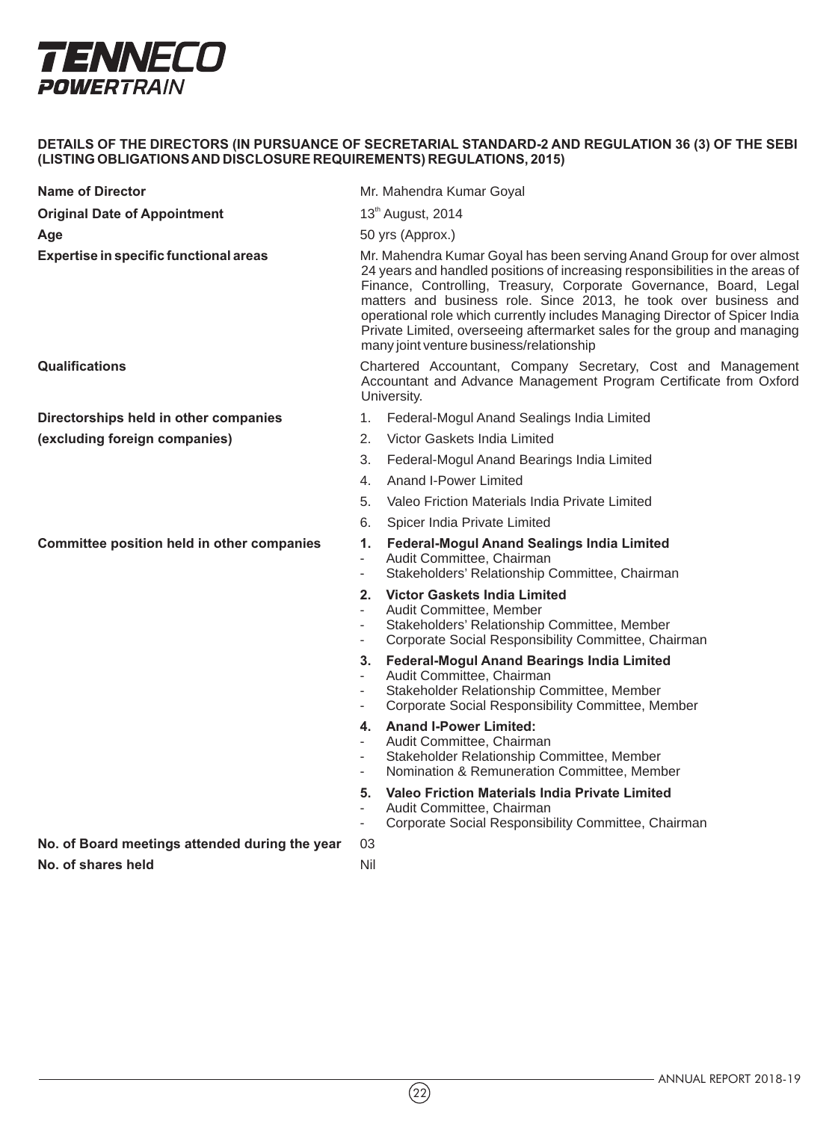

| <b>Name of Director</b>                           | Mr. Mahendra Kumar Goyal                                                                                                                                                                                                                                                                                                                                                                                                                                                                                |
|---------------------------------------------------|---------------------------------------------------------------------------------------------------------------------------------------------------------------------------------------------------------------------------------------------------------------------------------------------------------------------------------------------------------------------------------------------------------------------------------------------------------------------------------------------------------|
| <b>Original Date of Appointment</b>               | 13 <sup>th</sup> August, 2014                                                                                                                                                                                                                                                                                                                                                                                                                                                                           |
| Age                                               | 50 yrs (Approx.)                                                                                                                                                                                                                                                                                                                                                                                                                                                                                        |
| <b>Expertise in specific functional areas</b>     | Mr. Mahendra Kumar Goyal has been serving Anand Group for over almost<br>24 years and handled positions of increasing responsibilities in the areas of<br>Finance, Controlling, Treasury, Corporate Governance, Board, Legal<br>matters and business role. Since 2013, he took over business and<br>operational role which currently includes Managing Director of Spicer India<br>Private Limited, overseeing aftermarket sales for the group and managing<br>many joint venture business/relationship |
| Qualifications                                    | Chartered Accountant, Company Secretary, Cost and Management<br>Accountant and Advance Management Program Certificate from Oxford<br>University.                                                                                                                                                                                                                                                                                                                                                        |
| Directorships held in other companies             | Federal-Mogul Anand Sealings India Limited<br>1.                                                                                                                                                                                                                                                                                                                                                                                                                                                        |
| (excluding foreign companies)                     | 2.<br>Victor Gaskets India Limited                                                                                                                                                                                                                                                                                                                                                                                                                                                                      |
|                                                   | 3.<br>Federal-Mogul Anand Bearings India Limited                                                                                                                                                                                                                                                                                                                                                                                                                                                        |
|                                                   | <b>Anand I-Power Limited</b><br>4.                                                                                                                                                                                                                                                                                                                                                                                                                                                                      |
|                                                   | 5.<br>Valeo Friction Materials India Private Limited                                                                                                                                                                                                                                                                                                                                                                                                                                                    |
|                                                   | Spicer India Private Limited<br>6.                                                                                                                                                                                                                                                                                                                                                                                                                                                                      |
| <b>Committee position held in other companies</b> | <b>Federal-Mogul Anand Sealings India Limited</b><br>1.<br>Audit Committee, Chairman<br>Stakeholders' Relationship Committee, Chairman<br>$\overline{\phantom{a}}$                                                                                                                                                                                                                                                                                                                                      |
|                                                   | 2. Victor Gaskets India Limited<br>Audit Committee, Member<br>$\blacksquare$<br>Stakeholders' Relationship Committee, Member<br>$\overline{\phantom{a}}$<br>Corporate Social Responsibility Committee, Chairman<br>$\overline{\phantom{a}}$                                                                                                                                                                                                                                                             |
|                                                   | <b>Federal-Mogul Anand Bearings India Limited</b><br>3.<br>Audit Committee, Chairman<br>$\overline{\phantom{a}}$<br>Stakeholder Relationship Committee, Member<br>$\sim$<br>Corporate Social Responsibility Committee, Member<br>$\overline{\phantom{a}}$                                                                                                                                                                                                                                               |
|                                                   | 4. Anand I-Power Limited:<br>Audit Committee, Chairman<br>Stakeholder Relationship Committee, Member<br>$\blacksquare$<br>Nomination & Remuneration Committee, Member<br>$\overline{\phantom{a}}$                                                                                                                                                                                                                                                                                                       |
|                                                   | Valeo Friction Materials India Private Limited<br>5.<br>Audit Committee, Chairman<br>Corporate Social Responsibility Committee, Chairman<br>$\overline{\phantom{a}}$                                                                                                                                                                                                                                                                                                                                    |
| No. of Board meetings attended during the year    | 03                                                                                                                                                                                                                                                                                                                                                                                                                                                                                                      |
| No. of shares held                                | Nil                                                                                                                                                                                                                                                                                                                                                                                                                                                                                                     |

 $(22)$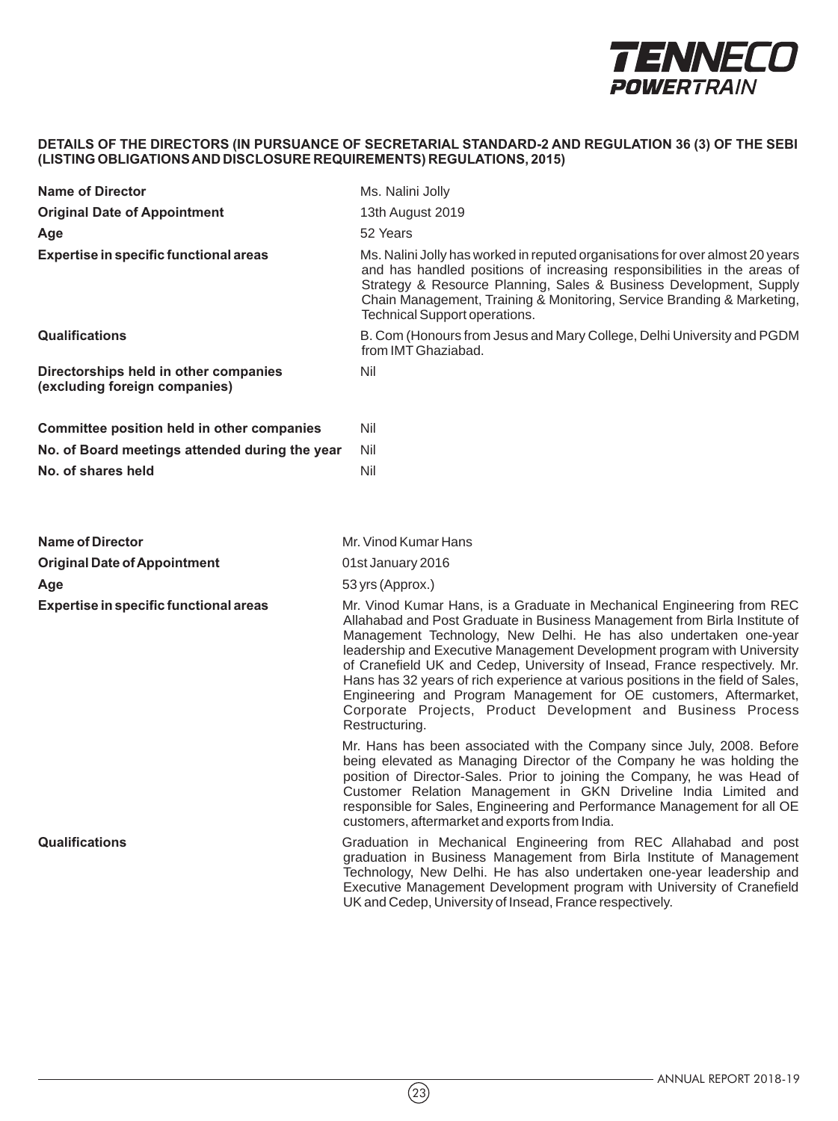

| <b>Name of Director</b>                                                | Ms. Nalini Jolly<br>13th August 2019<br>52 Years                                                                                                                                                                                                                                                                                                                                                                                                                                                                                                                                                                              |  |
|------------------------------------------------------------------------|-------------------------------------------------------------------------------------------------------------------------------------------------------------------------------------------------------------------------------------------------------------------------------------------------------------------------------------------------------------------------------------------------------------------------------------------------------------------------------------------------------------------------------------------------------------------------------------------------------------------------------|--|
| <b>Original Date of Appointment</b>                                    |                                                                                                                                                                                                                                                                                                                                                                                                                                                                                                                                                                                                                               |  |
| Age                                                                    |                                                                                                                                                                                                                                                                                                                                                                                                                                                                                                                                                                                                                               |  |
| Expertise in specific functional areas                                 | Ms. Nalini Jolly has worked in reputed organisations for over almost 20 years<br>and has handled positions of increasing responsibilities in the areas of<br>Strategy & Resource Planning, Sales & Business Development, Supply<br>Chain Management, Training & Monitoring, Service Branding & Marketing,<br>Technical Support operations.                                                                                                                                                                                                                                                                                    |  |
| <b>Qualifications</b>                                                  | B. Com (Honours from Jesus and Mary College, Delhi University and PGDM<br>from IMT Ghaziabad.                                                                                                                                                                                                                                                                                                                                                                                                                                                                                                                                 |  |
| Directorships held in other companies<br>(excluding foreign companies) | Nil                                                                                                                                                                                                                                                                                                                                                                                                                                                                                                                                                                                                                           |  |
| Committee position held in other companies                             | Nil                                                                                                                                                                                                                                                                                                                                                                                                                                                                                                                                                                                                                           |  |
| No. of Board meetings attended during the year                         | Nil                                                                                                                                                                                                                                                                                                                                                                                                                                                                                                                                                                                                                           |  |
| No. of shares held                                                     | Nil                                                                                                                                                                                                                                                                                                                                                                                                                                                                                                                                                                                                                           |  |
|                                                                        |                                                                                                                                                                                                                                                                                                                                                                                                                                                                                                                                                                                                                               |  |
| Name of Director                                                       | Mr. Vinod Kumar Hans                                                                                                                                                                                                                                                                                                                                                                                                                                                                                                                                                                                                          |  |
| <b>Original Date of Appointment</b>                                    | 01st January 2016                                                                                                                                                                                                                                                                                                                                                                                                                                                                                                                                                                                                             |  |
| Age                                                                    | 53 yrs (Approx.)                                                                                                                                                                                                                                                                                                                                                                                                                                                                                                                                                                                                              |  |
| Expertise in specific functional areas                                 | Mr. Vinod Kumar Hans, is a Graduate in Mechanical Engineering from REC<br>Allahabad and Post Graduate in Business Management from Birla Institute of<br>Management Technology, New Delhi. He has also undertaken one-year<br>leadership and Executive Management Development program with University<br>of Cranefield UK and Cedep, University of Insead, France respectively. Mr.<br>Hans has 32 years of rich experience at various positions in the field of Sales,<br>Engineering and Program Management for OE customers, Aftermarket,<br>Corporate Projects, Product Development and Business Process<br>Restructuring. |  |
|                                                                        | Mr. Hans has been associated with the Company since July, 2008. Before<br>being elevated as Managing Director of the Company he was holding the<br>position of Director-Sales. Prior to joining the Company, he was Head of<br>Customer Relation Management in GKN Driveline India Limited and<br>responsible for Sales, Engineering and Performance Management for all OE<br>customers, aftermarket and exports from India.                                                                                                                                                                                                  |  |
| <b>Qualifications</b>                                                  | Graduation in Mechanical Engineering from REC Allahabad and post<br>graduation in Business Management from Birla Institute of Management<br>Technology, New Delhi. He has also undertaken one-year leadership and<br>Executive Management Development program with University of Cranefield<br>UK and Cedep, University of Insead, France respectively.                                                                                                                                                                                                                                                                       |  |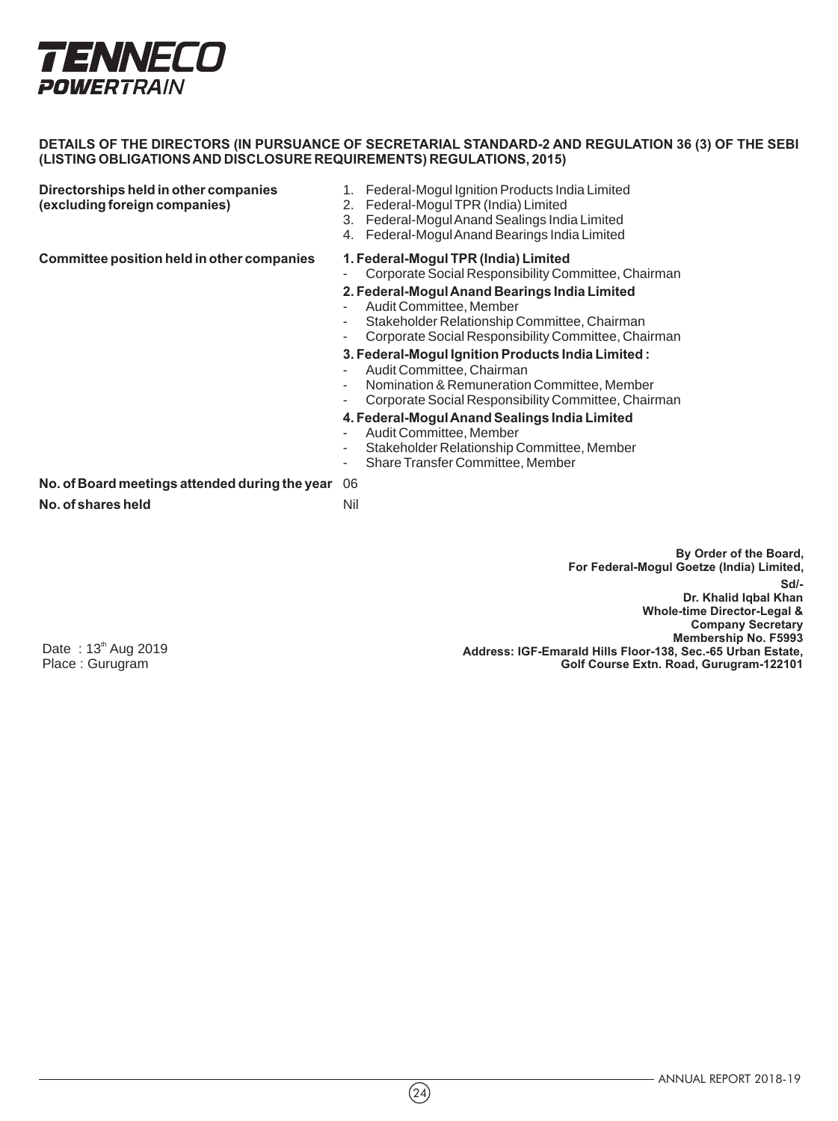

**Directorships held in other companies** 1. Federal-Mogul Ignition Products India Limited<br>
(excluding foreign companies) 2. Federal-Mogul TPR (India) Limited

- 
- **(excluding foreign companies)** 2. Federal-Mogul TPR (India) Limited
- 3. Federal-Mogul Anand Sealings India Limited
- 4. Federal-Mogul Anand Bearings India Limited

**Committee position held in other companies 1. Federal-Mogul TPR (India) Limited**

- Corporate Social Responsibility Committee, Chairman

# **2. Federal-Mogul Anand Bearings India Limited**

- Audit Committee, Member
- Stakeholder Relationship Committee, Chairman
- Corporate Social Responsibility Committee, Chairman

#### **3. Federal-Mogul Ignition Products India Limited :**

- Audit Committee, Chairman
- Nomination & Remuneration Committee, Member
- Corporate Social Responsibility Committee, Chairman

#### **4. Federal-Mogul Anand Sealings India Limited**

- Audit Committee, Member
- Stakeholder Relationship Committee, Member
- Share Transfer Committee, Member

**No. of Board meetings attended during the year** 06 **No. of shares held** Nil

> **Sd/- Dr. Khalid Iqbal Khan Whole-time Director-Legal & Company Secretary Membership No. F5993 Address: IGF-Emarald Hills Floor-138, Sec.-65 Urban Estate, Golf Course Extn. Road, Gurugram-122101 By Order of the Board, For Federal-Mogul Goetze (India) Limited,**

Date: 13<sup>th</sup> Aug 2019 Place : Gurugram